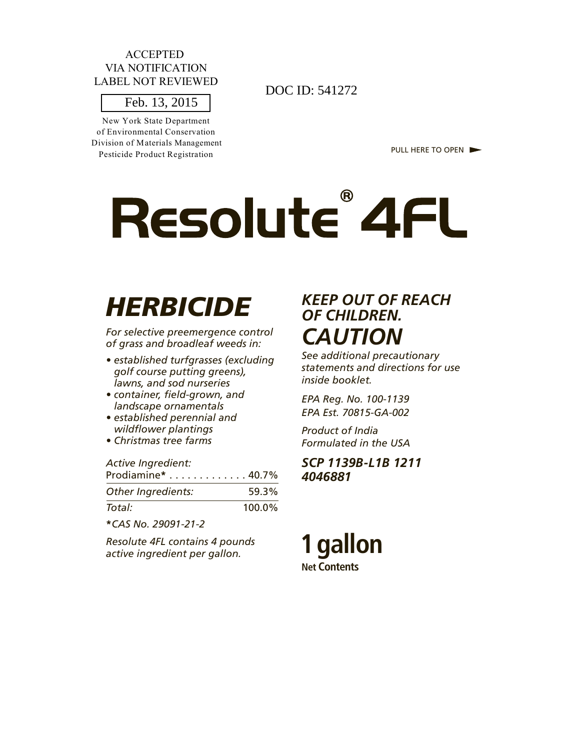#### ACCEPTED VIA NOTIFICATION LABEL NOT REVIEWED

New York State Department of Environmental Conservation Division of Materials Management Pesticide Product Registration

 $\frac{1801 \text{ REVENED}}{541272}$  DOC ID: 541272

PULL HERE TO OPEN

# Resolute<sup>®</sup> 4FL

## *HERBICIDE*

*For selective preemergence control of grass and broadleaf weeds in:*

- *established turfgrasses (excluding golf course putting greens), lawns, and sod nurseries*
- *container, field-grown, and landscape ornamentals*
- *established perennial and wildflower plantings*
- *Christmas tree farms*

| Prodiamine* 40.7% |
|-------------------|
| 59.3%             |
| $100.0\%$         |
|                   |

**\****CAS No. 29091-21-2*

*Resolute 4FL contains 4 pounds active ingredient per gallon.*

## *KEEP OUT OF REACH OF CHILDREN. CAUTION*

*See additional precautionary statements and directions for use inside booklet.*

*EPA Reg. No. 100-1139 EPA Est. 70815-GA-002*

*Product of India Formulated in the USA*

#### *SCP 1139B-L1B 1211 4046881*

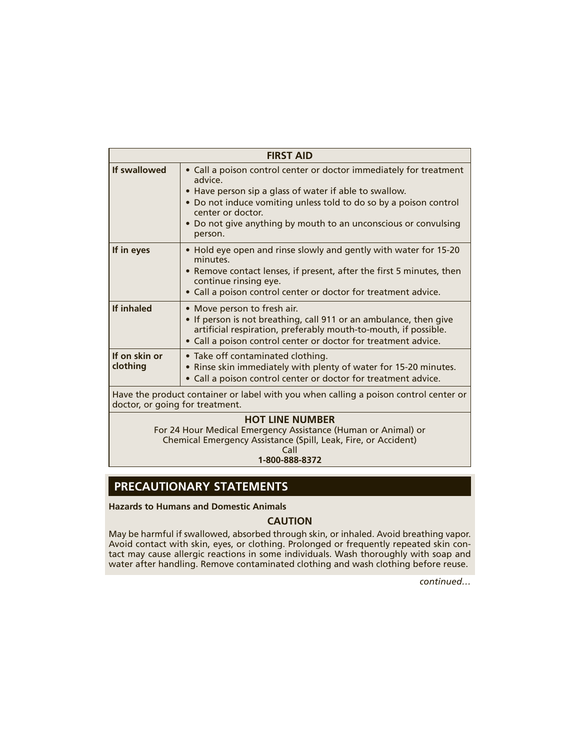|                                 | <b>FIRST AID</b>                                                                                                                                                                                                                                                                                                |
|---------------------------------|-----------------------------------------------------------------------------------------------------------------------------------------------------------------------------------------------------------------------------------------------------------------------------------------------------------------|
| If swallowed                    | • Call a poison control center or doctor immediately for treatment<br>advice.<br>• Have person sip a glass of water if able to swallow.<br>• Do not induce vomiting unless told to do so by a poison control<br>center or doctor.<br>• Do not give anything by mouth to an unconscious or convulsing<br>person. |
| If in eyes                      | • Hold eye open and rinse slowly and gently with water for 15-20<br>minutes.<br>• Remove contact lenses, if present, after the first 5 minutes, then<br>continue rinsing eye.<br>• Call a poison control center or doctor for treatment advice.                                                                 |
| If inhaled                      | • Move person to fresh air.<br>• If person is not breathing, call 911 or an ambulance, then give<br>artificial respiration, preferably mouth-to-mouth, if possible.<br>• Call a poison control center or doctor for treatment advice.                                                                           |
| If on skin or<br>clothing       | • Take off contaminated clothing.<br>• Rinse skin immediately with plenty of water for 15-20 minutes.<br>• Call a poison control center or doctor for treatment advice.                                                                                                                                         |
| doctor, or going for treatment. | Have the product container or label with you when calling a poison control center or                                                                                                                                                                                                                            |
|                                 | <b>HOT LINE NUMBER</b><br>For 24 Hour Medical Emergency Assistance (Human or Animal) or<br>Chemical Emergency Assistance (Spill, Leak, Fire, or Accident)<br>Call<br>1-800-888-8372                                                                                                                             |

## **PRECAUTIONARY STATEMENTS**

**Hazards to Humans and Domestic Animals**

#### **CAUTION**

May be harmful if swallowed, absorbed through skin, or inhaled. Avoid breathing vapor. Avoid contact with skin, eyes, or clothing. Prolonged or frequently repeated skin contact may cause allergic reactions in some individuals. Wash thoroughly with soap and water after handling. Remove contaminated clothing and wash clothing before reuse.

*continued…*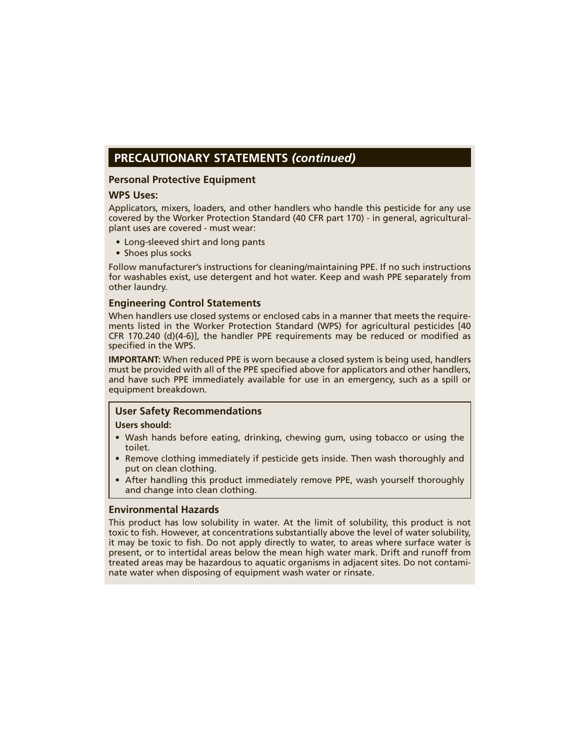#### **PRECAUTIONARY STATEMENTS** *(continued)*

#### **Personal Protective Equipment**

#### **WPS Uses:**

Applicators, mixers, loaders, and other handlers who handle this pesticide for any use covered by the Worker Protection Standard (40 CFR part 170) - in general, agriculturalplant uses are covered - must wear:

- Long-sleeved shirt and long pants
- Shoes plus socks

Follow manufacturer's instructions for cleaning/maintaining PPE. If no such instructions for washables exist, use detergent and hot water. Keep and wash PPE separately from other laundry.

#### **Engineering Control Statements**

When handlers use closed systems or enclosed cabs in a manner that meets the requirements listed in the Worker Protection Standard (WPS) for agricultural pesticides [40 CFR 170.240 (d) $(4-6)$ ], the handler PPE requirements may be reduced or modified as specified in the WPS.

**IMPORTANT:** When reduced PPE is worn because a closed system is being used, handlers must be provided with all of the PPE specified above for applicators and other handlers, and have such PPE immediately available for use in an emergency, such as a spill or equipment breakdown.

#### **User Safety Recommendations**

#### **Users should:**

- Wash hands before eating, drinking, chewing gum, using tobacco or using the toilet.
- Remove clothing immediately if pesticide gets inside. Then wash thoroughly and put on clean clothing.
- After handling this product immediately remove PPE, wash yourself thoroughly and change into clean clothing.

#### **Environmental Hazards**

This product has low solubility in water. At the limit of solubility, this product is not toxic to fish. However, at concentrations substantially above the level of water solubility, it may be toxic to fish. Do not apply directly to water, to areas where surface water is present, or to intertidal areas below the mean high water mark. Drift and runoff from treated areas may be hazardous to aquatic organisms in adjacent sites. Do not contaminate water when disposing of equipment wash water or rinsate.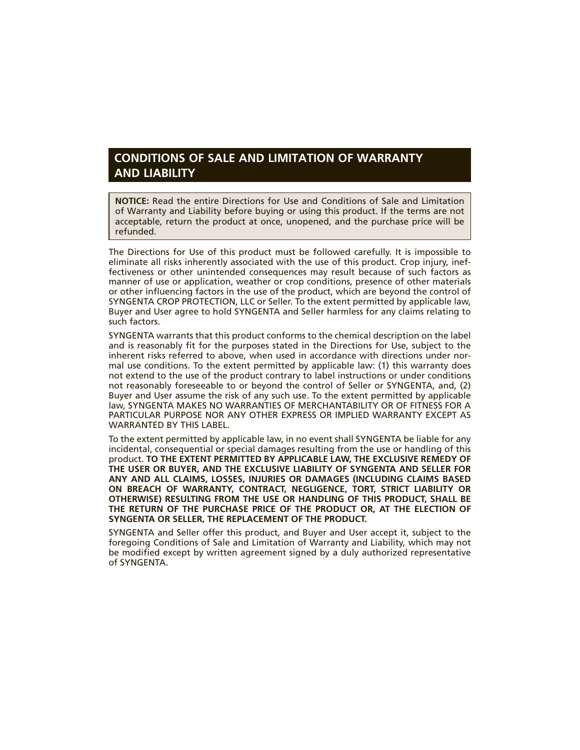#### **CONDITIONS OF SALE AND LIMITATION OF WARRANTY AND LIABILITY**

**NOTICE:** Read the entire Directions for Use and Conditions of Sale and Limitation of Warranty and Liability before buying or using this product. If the terms are not acceptable, return the product at once, unopened, and the purchase price will be refunded.

The Directions for Use of this product must be followed carefully. It is impossible to eliminate all risks inherently associated with the use of this product. Crop injury, ineffectiveness or other unintended consequences may result because of such factors as manner of use or application, weather or crop conditions, presence of other materials or other influencing factors in the use of the product, which are beyond the control of SYNGENTA CROP PROTECTION, LLC or Seller. To the extent permitted by applicable law, Buyer and User agree to hold SYNGENTA and Seller harmless for any claims relating to such factors.

SYNGENTA warrants that this product conforms to the chemical description on the label and is reasonably fit for the purposes stated in the Directions for Use, subject to the inherent risks referred to above, when used in accordance with directions under normal use conditions. To the extent permitted by applicable law: (1) this warranty does not extend to the use of the product contrary to label instructions or under conditions not reasonably foreseeable to or beyond the control of Seller or SYNGENTA, and, (2) Buyer and User assume the risk of any such use. To the extent permitted by applicable law, SYNGENTA MAKES NO WARRANTIES OF MERCHANTABILITY OR OF FITNESS FOR A PARTICULAR PURPOSE NOR ANY OTHER EXPRESS OR IMPLIED WARRANTY EXCEPT AS WARRANTED BY THIS LABEL.

To the extent permitted by applicable law, in no event shall SYNGENTA be liable for any incidental, consequential or special damages resulting from the use or handling of this product. **TO THE EXTENT PERMITTED BY APPLICABLE LAW, THE EXCLUSIVE REMEDY OF THE USER OR BUYER, AND THE EXCLUSIVE LIABILITY OF SYNGENTA AND SELLER FOR ANY AND ALL CLAIMS, LOSSES, INJURIES OR DAMAGES (INCLUDING CLAIMS BASED ON BREACH OF WARRANTY, CONTRACT, NEGLIGENCE, TORT, STRICT LIABILITY OR OTHERWISE) RESULTING FROM THE USE OR HANDLING OF THIS PRODUCT, SHALL BE THE RETURN OF THE PURCHASE PRICE OF THE PRODUCT OR, AT THE ELECTION OF SYNGENTA OR SELLER, THE REPLACEMENT OF THE PRODUCT.**

SYNGENTA and Seller offer this product, and Buyer and User accept it, subject to the foregoing Conditions of Sale and Limitation of Warranty and Liability, which may not be modified except by written agreement signed by a duly authorized representative of SYNGENTA.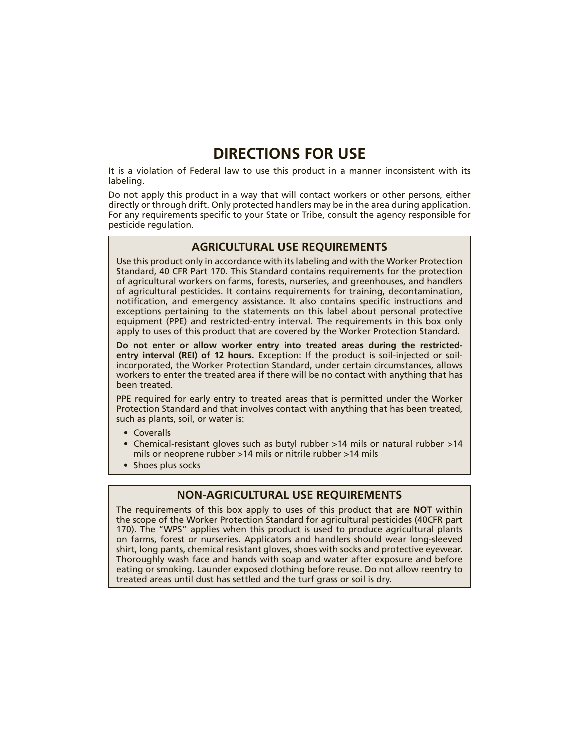## **DIRECTIONS FOR USE**

It is a violation of Federal law to use this product in a manner inconsistent with its labeling.

Do not apply this product in a way that will contact workers or other persons, either directly or through drift. Only protected handlers may be in the area during application. For any requirements specific to your State or Tribe, consult the agency responsible for pesticide regulation.

#### **AGRICULTURAL USE REQUIREMENTS**

Use this product only in accordance with its labeling and with the Worker Protection Standard, 40 CFR Part 170. This Standard contains requirements for the protection of agricultural workers on farms, forests, nurseries, and greenhouses, and handlers of agricultural pesticides. It contains requirements for training, decontamination, notification, and emergency assistance. It also contains specific instructions and exceptions pertaining to the statements on this label about personal protective equipment (PPE) and restricted-entry interval. The requirements in this box only apply to uses of this product that are covered by the Worker Protection Standard.

**Do not enter or allow worker entry into treated areas during the restrictedentry interval (REI) of 12 hours.** Exception: If the product is soil-injected or soilincorporated, the Worker Protection Standard, under certain circumstances, allows workers to enter the treated area if there will be no contact with anything that has been treated.

PPE required for early entry to treated areas that is permitted under the Worker Protection Standard and that involves contact with anything that has been treated, such as plants, soil, or water is:

- Coveralls
- Chemical-resistant gloves such as butyl rubber >14 mils or natural rubber >14 mils or neoprene rubber >14 mils or nitrile rubber >14 mils
- Shoes plus socks

#### **NON-AGRICULTURAL USE REQUIREMENTS**

The requirements of this box apply to uses of this product that are **NOT** within the scope of the Worker Protection Standard for agricultural pesticides (40CFR part 170). The "WPS" applies when this product is used to produce agricultural plants on farms, forest or nurseries. Applicators and handlers should wear long-sleeved shirt, long pants, chemical resistant gloves, shoes with socks and protective eyewear. Thoroughly wash face and hands with soap and water after exposure and before eating or smoking. Launder exposed clothing before reuse. Do not allow reentry to treated areas until dust has settled and the turf grass or soil is dry.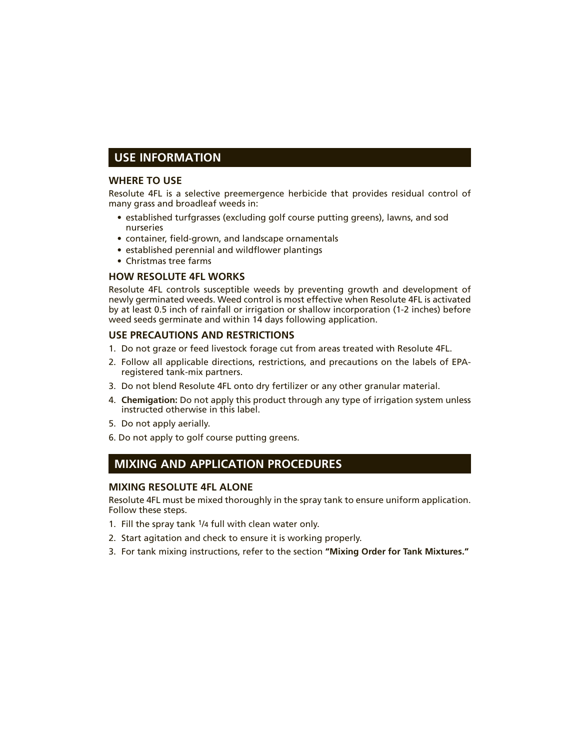#### **USE INFORMATION**

#### **WHERE TO USE**

Resolute 4FL is a selective preemergence herbicide that provides residual control of many grass and broadleaf weeds in:

- established turfgrasses (excluding golf course putting greens), lawns, and sod nurseries
- container, field-grown, and landscape ornamentals
- established perennial and wildflower plantings
- Christmas tree farms

#### **HOW RESOLUTE 4FL WORKS**

Resolute 4FL controls susceptible weeds by preventing growth and development of newly germinated weeds. Weed control is most effective when Resolute 4FL is activated by at least 0.5 inch of rainfall or irrigation or shallow incorporation (1-2 inches) before weed seeds germinate and within 14 days following application.

#### **USE PRECAUTIONS AND RESTRICTIONS**

- 1. Do not graze or feed livestock forage cut from areas treated with Resolute 4FL.
- 2. Follow all applicable directions, restrictions, and precautions on the labels of EPAregistered tank-mix partners.
- 3. Do not blend Resolute 4FL onto dry fertilizer or any other granular material.
- 4. **Chemigation:** Do not apply this product through any type of irrigation system unless instructed otherwise in this label.
- 5. Do not apply aerially.
- 6. Do not apply to golf course putting greens.

#### **MIXING AND APPLICATION PROCEDURES**

#### **MIXING RESOLUTE 4FL ALONE**

Resolute 4FL must be mixed thoroughly in the spray tank to ensure uniform application. Follow these steps.

- 1. Fill the spray tank 1/4 full with clean water only.
- 2. Start agitation and check to ensure it is working properly.
- 3. For tank mixing instructions, refer to the section **"Mixing Order for Tank Mixtures."**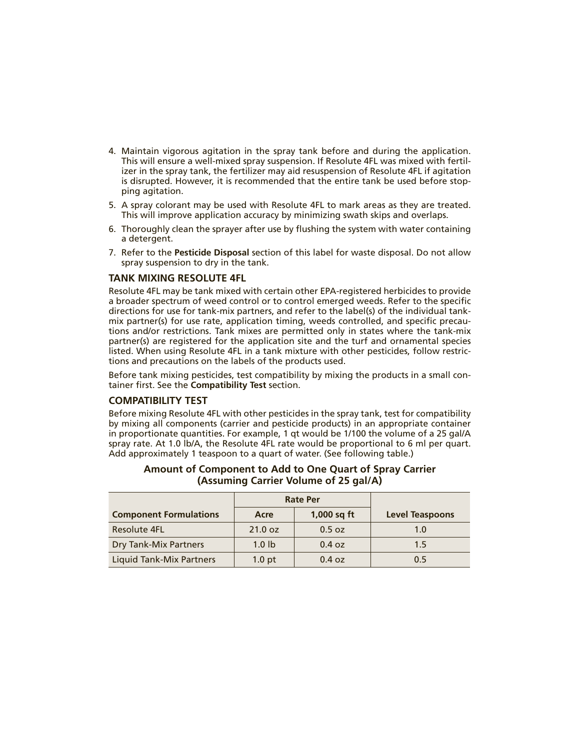- 4. Maintain vigorous agitation in the spray tank before and during the application. This will ensure a well-mixed spray suspension. If Resolute 4FL was mixed with fertilizer in the spray tank, the fertilizer may aid resuspension of Resolute 4FL if agitation is disrupted. However, it is recommended that the entire tank be used before stopping agitation.
- 5. A spray colorant may be used with Resolute 4FL to mark areas as they are treated. This will improve application accuracy by minimizing swath skips and overlaps.
- 6. Thoroughly clean the sprayer after use by flushing the system with water containing a detergent.
- 7. Refer to the **Pesticide Disposal** section of this label for waste disposal. Do not allow spray suspension to dry in the tank.

#### **TANK MIXING RESOLUTE 4FL**

Resolute 4FL may be tank mixed with certain other EPA-registered herbicides to provide a broader spectrum of weed control or to control emerged weeds. Refer to the specific directions for use for tank-mix partners, and refer to the label(s) of the individual tankmix partner(s) for use rate, application timing, weeds controlled, and specific precautions and/or restrictions. Tank mixes are permitted only in states where the tank-mix partner(s) are registered for the application site and the turf and ornamental species listed. When using Resolute 4FL in a tank mixture with other pesticides, follow restrictions and precautions on the labels of the products used.

Before tank mixing pesticides, test compatibility by mixing the products in a small container first. See the **Compatibility Test** section.

#### **COMPATIBILITY TEST**

Before mixing Resolute 4FL with other pesticides in the spray tank, test for compatibility by mixing all components (carrier and pesticide products) in an appropriate container in proportionate quantities. For example, 1 qt would be 1/100 the volume of a 25 gal/A spray rate. At 1.0 lb/A, the Resolute 4FL rate would be proportional to 6 ml per quart. Add approximately 1 teaspoon to a quart of water. (See following table.)

|                               | <b>Rate Per</b>   |               |                        |
|-------------------------------|-------------------|---------------|------------------------|
| <b>Component Formulations</b> | Acre              | $1,000$ sq ft | <b>Level Teaspoons</b> |
| <b>Resolute 4FL</b>           | 21.0 oz           | 0.5 oz        | 1.0                    |
| <b>Dry Tank-Mix Partners</b>  | 1.0 <sub>1b</sub> | 0.4 oz        | 1.5                    |
| Liquid Tank-Mix Partners      | 1.0 <sub>pt</sub> | 0.4 oz        | 0.5                    |

#### **Amount of Component to Add to One Quart of Spray Carrier (Assuming Carrier Volume of 25 gal/A)**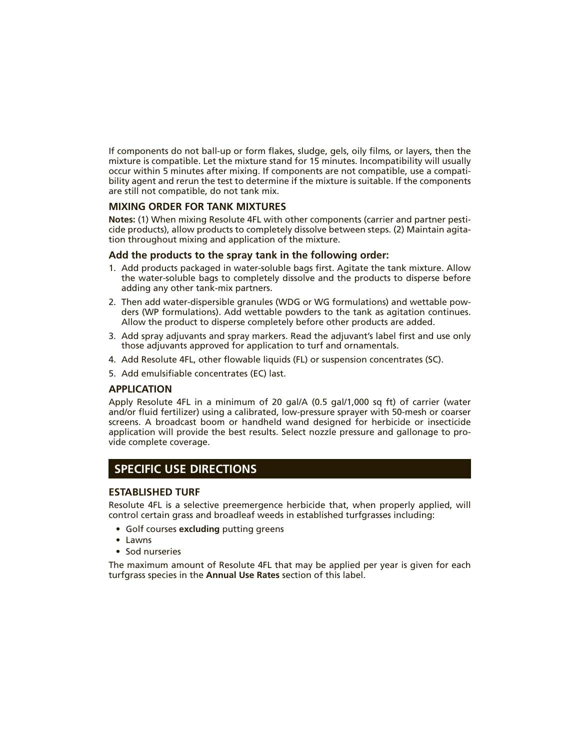If components do not ball-up or form flakes, sludge, gels, oily films, or layers, then the mixture is compatible. Let the mixture stand for 15 minutes. Incompatibility will usually occur within 5 minutes after mixing. If components are not compatible, use a compatibility agent and rerun the test to determine if the mixture is suitable. If the components are still not compatible, do not tank mix.

#### **MIXING ORDER FOR TANK MIXTURES**

**Notes:** (1) When mixing Resolute 4FL with other components (carrier and partner pesticide products), allow products to completely dissolve between steps. (2) Maintain agitation throughout mixing and application of the mixture.

#### **Add the products to the spray tank in the following order:**

- 1. Add products packaged in water-soluble bags first. Agitate the tank mixture. Allow the water-soluble bags to completely dissolve and the products to disperse before adding any other tank-mix partners.
- 2. Then add water-dispersible granules (WDG or WG formulations) and wettable powders (WP formulations). Add wettable powders to the tank as agitation continues. Allow the product to disperse completely before other products are added.
- 3. Add spray adjuvants and spray markers. Read the adjuvant's label first and use only those adjuvants approved for application to turf and ornamentals.
- 4. Add Resolute 4FL, other flowable liquids (FL) or suspension concentrates (SC).
- 5. Add emulsifiable concentrates (EC) last.

#### **APPLICATION**

Apply Resolute 4FL in a minimum of 20 gal/A (0.5 gal/1,000 sq ft) of carrier (water and/or fluid fertilizer) using a calibrated, low-pressure sprayer with 50-mesh or coarser screens. A broadcast boom or handheld wand designed for herbicide or insecticide application will provide the best results. Select nozzle pressure and gallonage to provide complete coverage.

#### **SPECIFIC USE DIRECTIONS**

#### **ESTABLISHED TURF**

Resolute 4FL is a selective preemergence herbicide that, when properly applied, will control certain grass and broadleaf weeds in established turfgrasses including:

- Golf courses **excluding** putting greens
- Lawns
- Sod nurseries

The maximum amount of Resolute 4FL that may be applied per year is given for each turfgrass species in the **Annual Use Rates** section of this label.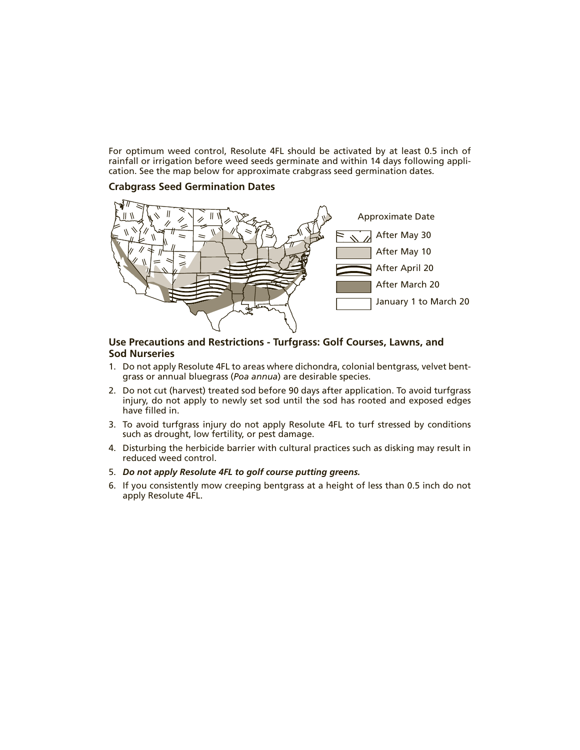For optimum weed control, Resolute 4FL should be activated by at least 0.5 inch of rainfall or irrigation before weed seeds germinate and within 14 days following application. See the map below for approximate crabgrass seed germination dates.

#### **Crabgrass Seed Germination Dates**



#### **Use Precautions and Restrictions - Turfgrass: Golf Courses, Lawns, and Sod Nurseries**

- 1. Do not apply Resolute 4FL to areas where dichondra, colonial bentgrass, velvet bentgrass or annual bluegrass (*Poa annua*) are desirable species.
- 2. Do not cut (harvest) treated sod before 90 days after application. To avoid turfgrass injury, do not apply to newly set sod until the sod has rooted and exposed edges have filled in.
- 3. To avoid turfgrass injury do not apply Resolute 4FL to turf stressed by conditions such as drought, low fertility, or pest damage.
- 4. Disturbing the herbicide barrier with cultural practices such as disking may result in reduced weed control.
- 5. *Do not apply Resolute 4FL to golf course putting greens.*
- 6. If you consistently mow creeping bentgrass at a height of less than 0.5 inch do not apply Resolute 4FL.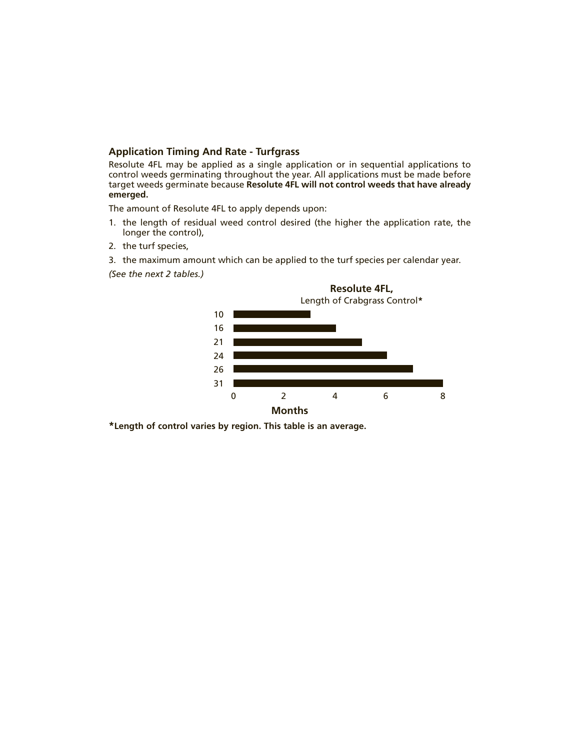#### **Application Timing And Rate - Turfgrass**

Resolute 4FL may be applied as a single application or in sequential applications to control weeds germinating throughout the year. All applications must be made before target weeds germinate because **Resolute 4FL will not control weeds that have already emerged.**

The amount of Resolute 4FL to apply depends upon:

- 1. the length of residual weed control desired (the higher the application rate, the longer the control),
- 2. the turf species,
- 3. the maximum amount which can be applied to the turf species per calendar year.

*(See the next 2 tables.)*



**\*Length of control varies by region. This table is an average.**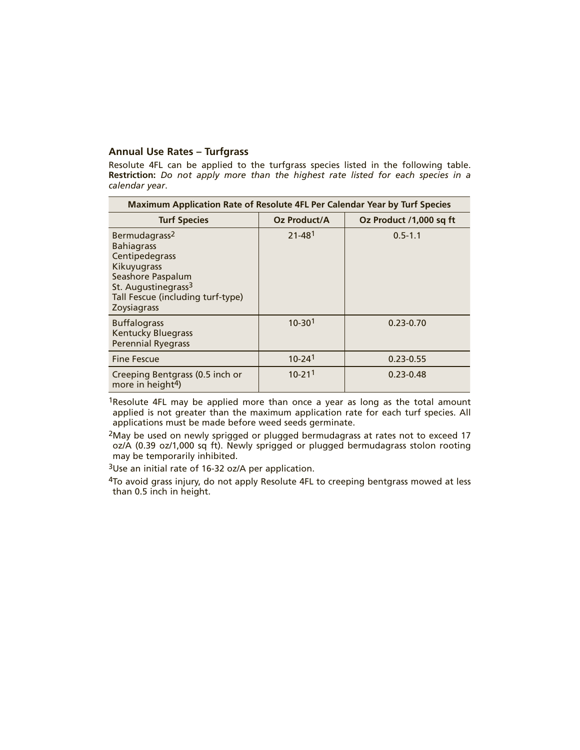#### **Annual Use Rates – Turfgrass**

Resolute 4FL can be applied to the turfgrass species listed in the following table. **Restriction:** *Do not apply more than the highest rate listed for each species in a calendar year*.

| Maximum Application Rate of Resolute 4FL Per Calendar Year by Turf Species                                                                                                                  |                        |                         |  |
|---------------------------------------------------------------------------------------------------------------------------------------------------------------------------------------------|------------------------|-------------------------|--|
| <b>Turf Species</b>                                                                                                                                                                         | Oz Product/A           | Oz Product /1,000 sq ft |  |
| Bermudagrass <sup>2</sup><br><b>Bahiagrass</b><br>Centipedegrass<br>Kikuyugrass<br>Seashore Paspalum<br>St. Augustinegrass <sup>3</sup><br>Tall Fescue (including turf-type)<br>Zoysiagrass | $21 - 481$             | $0.5 - 1.1$             |  |
| <b>Buffalograss</b><br><b>Kentucky Bluegrass</b><br><b>Perennial Ryegrass</b>                                                                                                               | $10 - 301$             | $0.23 - 0.70$           |  |
| <b>Fine Fescue</b>                                                                                                                                                                          | $10 - 24$ <sup>1</sup> | $0.23 - 0.55$           |  |
| Creeping Bentgrass (0.5 inch or<br>more in height <sup>4</sup> )                                                                                                                            | $10 - 211$             | $0.23 - 0.48$           |  |

1Resolute 4FL may be applied more than once a year as long as the total amount applied is not greater than the maximum application rate for each turf species. All applications must be made before weed seeds germinate.

 $2$ May be used on newly sprigged or plugged bermudagrass at rates not to exceed 17 oz/A (0.39 oz/1,000 sq ft). Newly sprigged or plugged bermudagrass stolon rooting may be temporarily inhibited.

3Use an initial rate of 16-32 oz/A per application.

<sup>4</sup>To avoid grass injury, do not apply Resolute 4FL to creeping bentgrass mowed at less than 0.5 inch in height.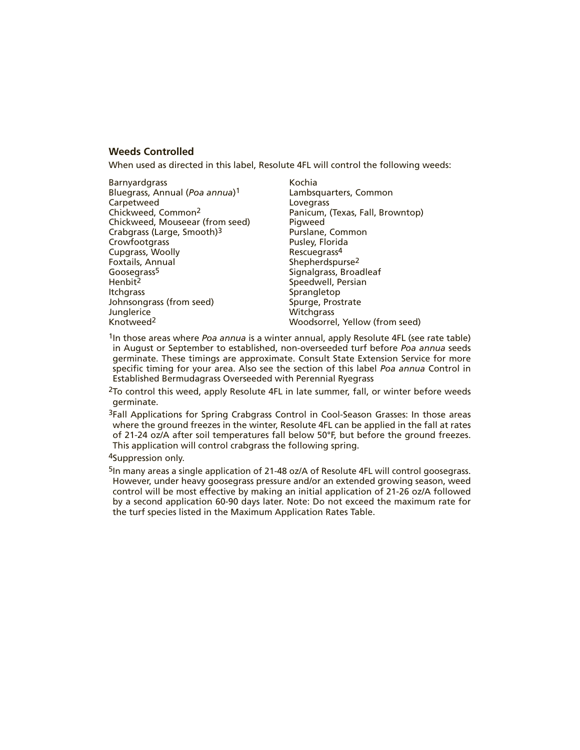#### **Weeds Controlled**

When used as directed in this label, Resolute 4FL will control the following weeds:

| <b>Barnyardgrass</b><br>Bluegrass, Annual (Poa annua) <sup>1</sup><br>Carpetweed<br>Chickweed, Common <sup>2</sup><br>Chickweed, Mouseear (from seed)<br>Crabgrass (Large, Smooth) <sup>3</sup><br>Crowfootgrass<br>Cupgrass, Woolly<br>Foxtails, Annual<br>Goosegrass <sup>5</sup> | Kochia<br>Lambsquarters, Common<br>Lovegrass<br>Panicum, (Texas, Fall, Browntop)<br>Pigweed<br>Purslane, Common<br>Pusley, Florida<br>Rescuegrass <sup>4</sup><br>Shepherdspurse <sup>2</sup><br>Signalgrass, Broadleaf |
|-------------------------------------------------------------------------------------------------------------------------------------------------------------------------------------------------------------------------------------------------------------------------------------|-------------------------------------------------------------------------------------------------------------------------------------------------------------------------------------------------------------------------|
|                                                                                                                                                                                                                                                                                     |                                                                                                                                                                                                                         |
|                                                                                                                                                                                                                                                                                     |                                                                                                                                                                                                                         |
|                                                                                                                                                                                                                                                                                     |                                                                                                                                                                                                                         |
|                                                                                                                                                                                                                                                                                     |                                                                                                                                                                                                                         |
|                                                                                                                                                                                                                                                                                     |                                                                                                                                                                                                                         |
| Henbit <sup>2</sup>                                                                                                                                                                                                                                                                 | Speedwell, Persian                                                                                                                                                                                                      |
| <b>Itchgrass</b>                                                                                                                                                                                                                                                                    | Sprangletop                                                                                                                                                                                                             |
| Johnsongrass (from seed)                                                                                                                                                                                                                                                            | Spurge, Prostrate                                                                                                                                                                                                       |
| Junglerice                                                                                                                                                                                                                                                                          | Witchgrass                                                                                                                                                                                                              |
| Knotweed <sup>2</sup>                                                                                                                                                                                                                                                               | Woodsorrel, Yellow (from seed)                                                                                                                                                                                          |
|                                                                                                                                                                                                                                                                                     |                                                                                                                                                                                                                         |

1In those areas where *Poa annua* is a winter annual, apply Resolute 4FL (see rate table) in August or September to established, non-overseeded turf before *Poa annua* seeds germinate. These timings are approximate. Consult State Extension Service for more specific timing for your area. Also see the section of this label *Poa annua* Control in Established Bermudagrass Overseeded with Perennial Ryegrass

<sup>2</sup>To control this weed, apply Resolute 4FL in late summer, fall, or winter before weeds germinate.

3Fall Applications for Spring Crabgrass Control in Cool-Season Grasses: In those areas where the ground freezes in the winter, Resolute 4FL can be applied in the fall at rates of 21-24 oz/A after soil temperatures fall below 50°F, but before the ground freezes. This application will control crabgrass the following spring.

4Suppression only.

5In many areas a single application of 21-48 oz/A of Resolute 4FL will control goosegrass. However, under heavy goosegrass pressure and/or an extended growing season, weed control will be most effective by making an initial application of 21-26 oz/A followed by a second application 60-90 days later. Note: Do not exceed the maximum rate for the turf species listed in the Maximum Application Rates Table.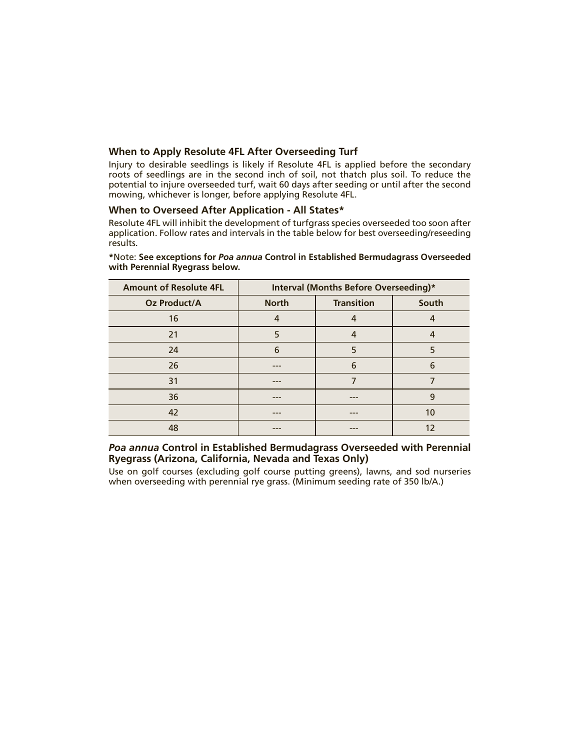#### **When to Apply Resolute 4FL After Overseeding Turf**

Injury to desirable seedlings is likely if Resolute 4FL is applied before the secondary roots of seedlings are in the second inch of soil, not thatch plus soil. To reduce the potential to injure overseeded turf, wait 60 days after seeding or until after the second mowing, whichever is longer, before applying Resolute 4FL.

#### **When to Overseed After Application - All States\***

Resolute 4FL will inhibit the development of turfgrass species overseeded too soon after application. Follow rates and intervals in the table below for best overseeding/reseeding results.

| <b>Amount of Resolute 4FL</b> | Interval (Months Before Overseeding)* |                   |       |
|-------------------------------|---------------------------------------|-------------------|-------|
| <b>Oz Product/A</b>           | <b>North</b>                          | <b>Transition</b> | South |
| 16                            | 4                                     | 4                 | 4     |
| 21                            | 5                                     | 4                 | 4     |
| 24                            | 6                                     | 5                 | 5     |
| 26                            |                                       | 6                 | 6     |
| 31                            |                                       |                   |       |
| 36                            |                                       | ---               | 9     |
| 42                            |                                       |                   | 10    |
| 48                            |                                       | ---               | 12    |

**\***Note: **See exceptions for** *Poa annua* **Control in Established Bermudagrass Overseeded with Perennial Ryegrass below.**

#### *Poa annua* **Control in Established Bermudagrass Overseeded with Perennial Ryegrass (Arizona, California, Nevada and Texas Only)**

Use on golf courses (excluding golf course putting greens), lawns, and sod nurseries when overseeding with perennial rye grass. (Minimum seeding rate of 350 lb/A.)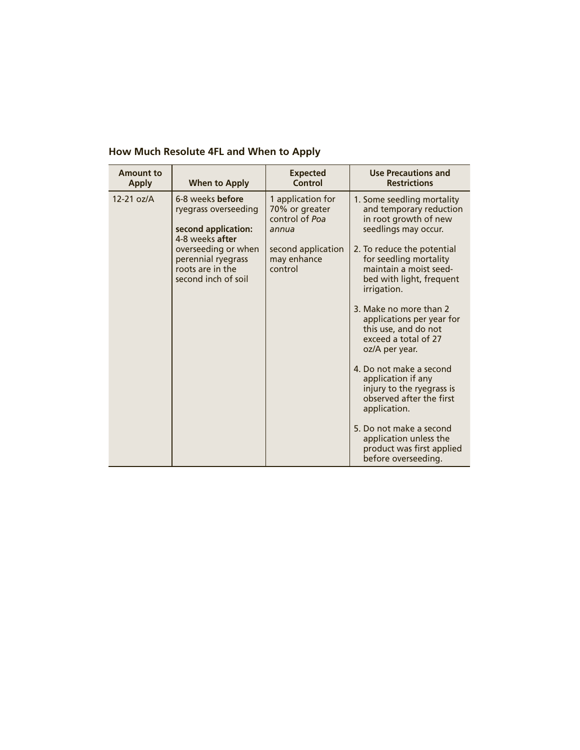| <b>Amount to</b><br><b>Apply</b> | <b>When to Apply</b>                                                                 | <b>Expected</b><br>Control                                     | <b>Use Precautions and</b><br><b>Restrictions</b>                                                                         |
|----------------------------------|--------------------------------------------------------------------------------------|----------------------------------------------------------------|---------------------------------------------------------------------------------------------------------------------------|
| $12-21$ oz/A                     | 6-8 weeks before<br>ryegrass overseeding<br>second application:<br>4-8 weeks after   | 1 application for<br>70% or greater<br>control of Poa<br>annua | 1. Some seedling mortality<br>and temporary reduction<br>in root growth of new<br>seedlings may occur.                    |
|                                  | overseeding or when<br>perennial ryegrass<br>roots are in the<br>second inch of soil | second application<br>may enhance<br>control                   | 2. To reduce the potential<br>for seedling mortality<br>maintain a moist seed-<br>bed with light, frequent<br>irrigation. |
|                                  |                                                                                      |                                                                | 3. Make no more than 2<br>applications per year for<br>this use, and do not<br>exceed a total of 27<br>oz/A per year.     |
|                                  |                                                                                      |                                                                | 4. Do not make a second<br>application if any<br>injury to the ryegrass is<br>observed after the first<br>application.    |
|                                  |                                                                                      |                                                                | 5. Do not make a second<br>application unless the<br>product was first applied<br>before overseeding.                     |

#### **How Much Resolute 4FL and When to Apply**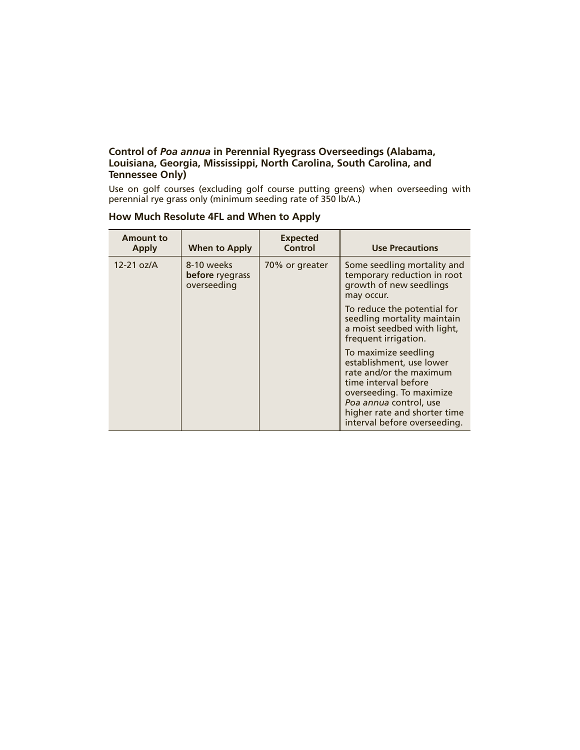#### **Control of** *Poa annua* **in Perennial Ryegrass Overseedings (Alabama, Louisiana, Georgia, Mississippi, North Carolina, South Carolina, and Tennessee Only)**

Use on golf courses (excluding golf course putting greens) when overseeding with perennial rye grass only (minimum seeding rate of 350 lb/A.)

| <b>Amount to</b><br><b>Apply</b> | When to Apply                                | <b>Expected</b><br><b>Control</b> | <b>Use Precautions</b>                                                                                                                                                                                                    |
|----------------------------------|----------------------------------------------|-----------------------------------|---------------------------------------------------------------------------------------------------------------------------------------------------------------------------------------------------------------------------|
| $12-21$ oz/A                     | 8-10 weeks<br>before ryegrass<br>overseeding | 70% or greater                    | Some seedling mortality and<br>temporary reduction in root<br>growth of new seedlings<br>may occur.                                                                                                                       |
|                                  |                                              |                                   | To reduce the potential for<br>seedling mortality maintain<br>a moist seedbed with light,<br>frequent irrigation.                                                                                                         |
|                                  |                                              |                                   | To maximize seedling<br>establishment, use lower<br>rate and/or the maximum<br>time interval before<br>overseeding. To maximize<br>Poa annua control, use<br>higher rate and shorter time<br>interval before overseeding. |

**How Much Resolute 4FL and When to Apply**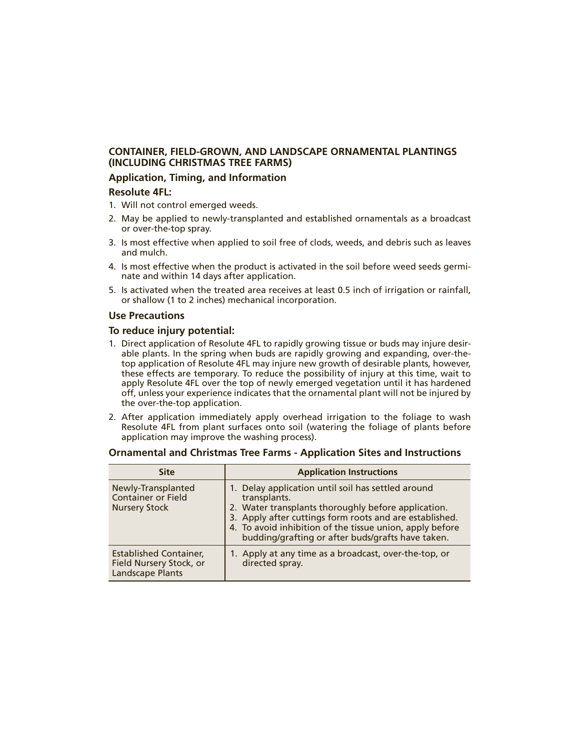#### **CONTAINER, FIELD-GROWN, AND LANDSCAPE ORNAMENTAL PLANTINGS (INCLUDING CHRISTMAS TREE FARMS)**

#### **Application, Timing, and Information**

#### **Resolute 4FL:**

- 1. Will not control emerged weeds.
- 2. May be applied to newly-transplanted and established ornamentals as a broadcast or over-the-top spray.
- 3. Is most effective when applied to soil free of clods, weeds, and debris such as leaves and mulch.
- 4. Is most effective when the product is activated in the soil before weed seeds germinate and within 14 days after application.
- 5. Is activated when the treated area receives at least 0.5 inch of irrigation or rainfall, or shallow (1 to 2 inches) mechanical incorporation.

#### **Use Precautions**

#### **To reduce injury potential:**

- 1. Direct application of Resolute 4FL to rapidly growing tissue or buds may injure desirable plants. In the spring when buds are rapidly growing and expanding, over-thetop application of Resolute 4FL may injure new growth of desirable plants, however, these effects are temporary. To reduce the possibility of injury at this time, wait to apply Resolute 4FL over the top of newly emerged vegetation until it has hardened off, unless your experience indicates that the ornamental plant will not be injured by the over-the-top application.
- 2. After application immediately apply overhead irrigation to the foliage to wash Resolute 4FL from plant surfaces onto soil (watering the foliage of plants before application may improve the washing process).

| <b>Site</b>                                                                         | <b>Application Instructions</b>                                                                                                                                                                                                                                                                       |
|-------------------------------------------------------------------------------------|-------------------------------------------------------------------------------------------------------------------------------------------------------------------------------------------------------------------------------------------------------------------------------------------------------|
| Newly-Transplanted<br><b>Container or Field</b><br><b>Nursery Stock</b>             | 1. Delay application until soil has settled around<br>transplants.<br>2. Water transplants thoroughly before application.<br>3. Apply after cuttings form roots and are established.<br>4. To avoid inhibition of the tissue union, apply before<br>budding/grafting or after buds/grafts have taken. |
| <b>Established Container,</b><br>Field Nursery Stock, or<br><b>Landscape Plants</b> | 1. Apply at any time as a broadcast, over-the-top, or<br>directed spray.                                                                                                                                                                                                                              |

#### **Ornamental and Christmas Tree Farms - Application Sites and Instructions**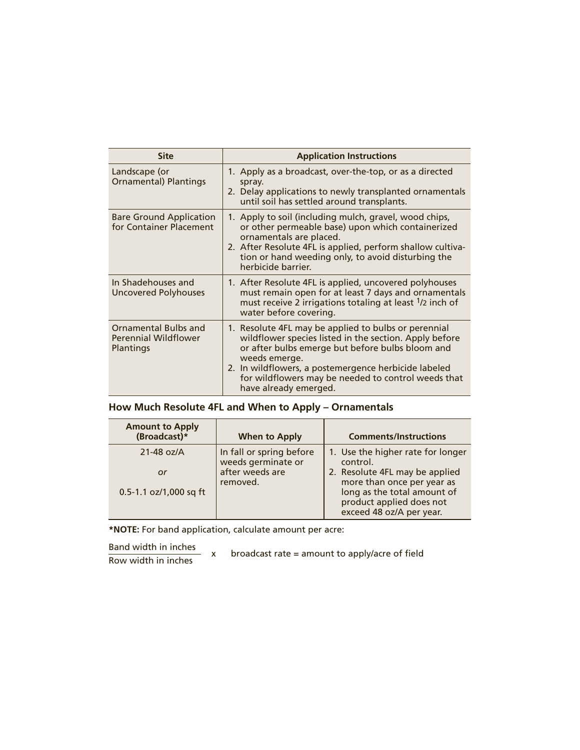| <b>Site</b>                                                             | <b>Application Instructions</b>                                                                                                                                                                                                                                                                                             |
|-------------------------------------------------------------------------|-----------------------------------------------------------------------------------------------------------------------------------------------------------------------------------------------------------------------------------------------------------------------------------------------------------------------------|
| Landscape (or<br><b>Ornamental) Plantings</b>                           | 1. Apply as a broadcast, over-the-top, or as a directed<br>spray.<br>2. Delay applications to newly transplanted ornamentals<br>until soil has settled around transplants.                                                                                                                                                  |
| <b>Bare Ground Application</b><br>for Container Placement               | 1. Apply to soil (including mulch, gravel, wood chips,<br>or other permeable base) upon which containerized<br>ornamentals are placed.<br>2. After Resolute 4FL is applied, perform shallow cultiva-<br>tion or hand weeding only, to avoid disturbing the<br>herbicide barrier.                                            |
| In Shadehouses and<br>Uncovered Polyhouses                              | 1. After Resolute 4FL is applied, uncovered polyhouses<br>must remain open for at least 7 days and ornamentals<br>must receive 2 irrigations totaling at least <sup>1</sup> /2 inch of<br>water before covering.                                                                                                            |
| Ornamental Bulbs and<br><b>Perennial Wildflower</b><br><b>Plantings</b> | 1. Resolute 4FL may be applied to bulbs or perennial<br>wildflower species listed in the section. Apply before<br>or after bulbs emerge but before bulbs bloom and<br>weeds emerge.<br>2. In wildflowers, a postemergence herbicide labeled<br>for wildflowers may be needed to control weeds that<br>have already emerged. |

|  | How Much Resolute 4FL and When to Apply - Ornamentals |  |  |  |
|--|-------------------------------------------------------|--|--|--|
|--|-------------------------------------------------------|--|--|--|

| <b>Amount to Apply</b><br>(Broadcast)* | When to Apply                                  | <b>Comments/Instructions</b>                                                        |
|----------------------------------------|------------------------------------------------|-------------------------------------------------------------------------------------|
| $21-48$ oz/A                           | In fall or spring before<br>weeds germinate or | 1. Use the higher rate for longer<br>control.                                       |
| or                                     | after weeds are<br>removed.                    | 2. Resolute 4FL may be applied<br>more than once per year as                        |
| 0.5-1.1 oz/1,000 sq ft                 |                                                | long as the total amount of<br>product applied does not<br>exceed 48 oz/A per year. |

**\*NOTE:** For band application, calculate amount per acre:

Band width in inches<br>Row width in inches x broadcast rate = amount to apply/acre of field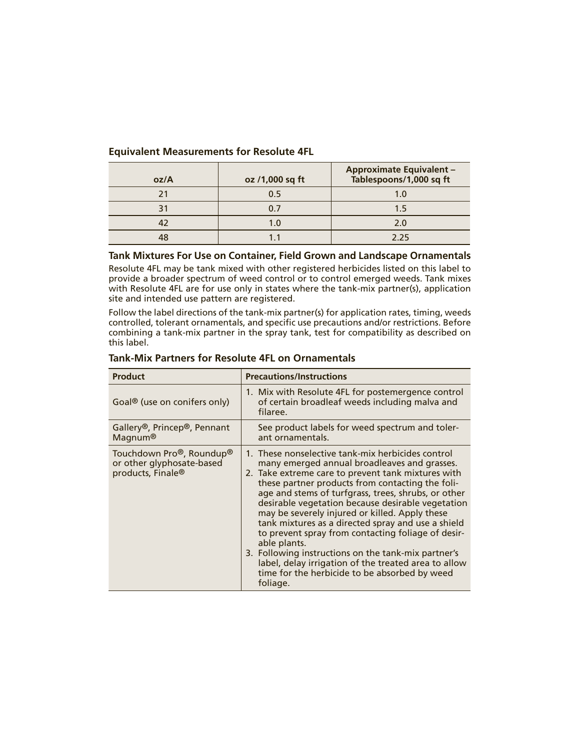#### **Equivalent Measurements for Resolute 4FL**

| oz/A | oz /1,000 sq ft | <b>Approximate Equivalent -</b><br>Tablespoons/1,000 sq ft |
|------|-----------------|------------------------------------------------------------|
|      | 0.5             | 1.0                                                        |
|      | 0 7             | 15                                                         |
|      | 1.0             | 2.0                                                        |
| 10   |                 | 225                                                        |

#### **Tank Mixtures For Use on Container, Field Grown and Landscape Ornamentals**

Resolute 4FL may be tank mixed with other registered herbicides listed on this label to provide a broader spectrum of weed control or to control emerged weeds. Tank mixes with Resolute 4FL are for use only in states where the tank-mix partner(s), application site and intended use pattern are registered.

Follow the label directions of the tank-mix partner(s) for application rates, timing, weeds controlled, tolerant ornamentals, and specific use precautions and/or restrictions. Before combining a tank-mix partner in the spray tank, test for compatibility as described on this label.

| <b>Product</b>                                                                                      | <b>Precautions/Instructions</b>                                                                                                                                                                                                                                                                                                                                                                                                                                                                                                                                                                                                                                                   |
|-----------------------------------------------------------------------------------------------------|-----------------------------------------------------------------------------------------------------------------------------------------------------------------------------------------------------------------------------------------------------------------------------------------------------------------------------------------------------------------------------------------------------------------------------------------------------------------------------------------------------------------------------------------------------------------------------------------------------------------------------------------------------------------------------------|
| Goal <sup>®</sup> (use on conifers only)                                                            | 1. Mix with Resolute 4FL for postemergence control<br>of certain broadleaf weeds including malva and<br>filaree.                                                                                                                                                                                                                                                                                                                                                                                                                                                                                                                                                                  |
| Gallery <sup>®</sup> , Princep <sup>®</sup> , Pennant<br>Magnum®                                    | See product labels for weed spectrum and toler-<br>ant ornamentals.                                                                                                                                                                                                                                                                                                                                                                                                                                                                                                                                                                                                               |
| Touchdown Pro <sup>®</sup> , Roundup <sup>®</sup><br>or other glyphosate-based<br>products, Finale® | 1. These nonselective tank-mix herbicides control<br>many emerged annual broadleaves and grasses.<br>2. Take extreme care to prevent tank mixtures with<br>these partner products from contacting the foli-<br>age and stems of turfgrass, trees, shrubs, or other<br>desirable vegetation because desirable vegetation<br>may be severely injured or killed. Apply these<br>tank mixtures as a directed spray and use a shield<br>to prevent spray from contacting foliage of desir-<br>able plants.<br>3. Following instructions on the tank-mix partner's<br>label, delay irrigation of the treated area to allow<br>time for the herbicide to be absorbed by weed<br>foliage. |

#### **Tank-Mix Partners for Resolute 4FL on Ornamentals**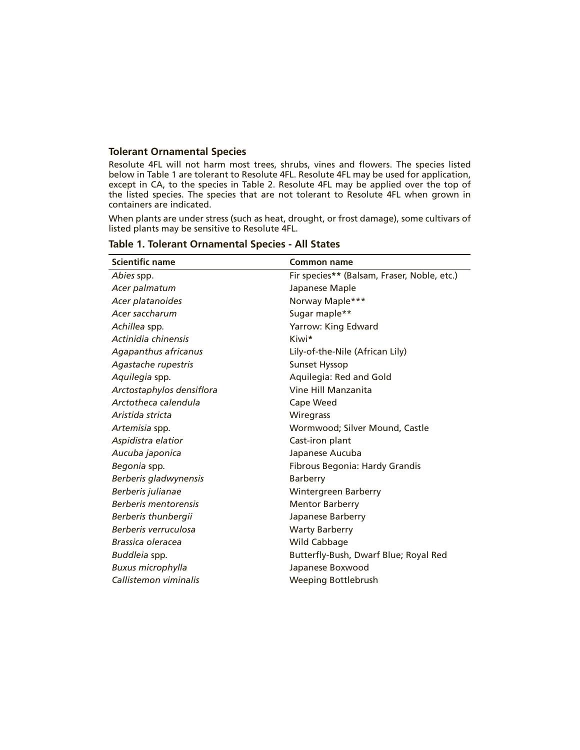#### **Tolerant Ornamental Species**

Resolute 4FL will not harm most trees, shrubs, vines and flowers. The species listed below in Table 1 are tolerant to Resolute 4FL. Resolute 4FL may be used for application, except in CA, to the species in Table 2. Resolute 4FL may be applied over the top of the listed species. The species that are not tolerant to Resolute 4FL when grown in containers are indicated.

When plants are under stress (such as heat, drought, or frost damage), some cultivars of listed plants may be sensitive to Resolute 4FL.

| <b>Scientific name</b>    | Common name                                 |
|---------------------------|---------------------------------------------|
| Abies spp.                | Fir species** (Balsam, Fraser, Noble, etc.) |
| Acer palmatum             | Japanese Maple                              |
| Acer platanoides          | Norway Maple***                             |
| Acer saccharum            | Sugar maple**                               |
| Achillea spp.             | Yarrow: King Edward                         |
| Actinidia chinensis       | Kiwi*                                       |
| Agapanthus africanus      | Lily-of-the-Nile (African Lily)             |
| Agastache rupestris       | <b>Sunset Hyssop</b>                        |
| Aquilegia spp.            | Aquilegia: Red and Gold                     |
| Arctostaphylos densiflora | Vine Hill Manzanita                         |
| Arctotheca calendula      | Cape Weed                                   |
| Aristida stricta          | <b>Wiregrass</b>                            |
| Artemisia spp.            | Wormwood; Silver Mound, Castle              |
| Aspidistra elatior        | Cast-iron plant                             |
| Aucuba japonica           | Japanese Aucuba                             |
| Begonia spp.              | Fibrous Begonia: Hardy Grandis              |
| Berberis gladwynensis     | Barberry                                    |
| Berberis julianae         | Wintergreen Barberry                        |
| Berberis mentorensis      | <b>Mentor Barberry</b>                      |
| Berberis thunbergii       | Japanese Barberry                           |
| Berberis verruculosa      | <b>Warty Barberry</b>                       |
| Brassica oleracea         | Wild Cabbage                                |
| Buddleia spp.             | Butterfly-Bush, Dwarf Blue; Royal Red       |
| <b>Buxus microphylla</b>  | Japanese Boxwood                            |
| Callistemon viminalis     | <b>Weeping Bottlebrush</b>                  |

#### **Table 1. Tolerant Ornamental Species - All States**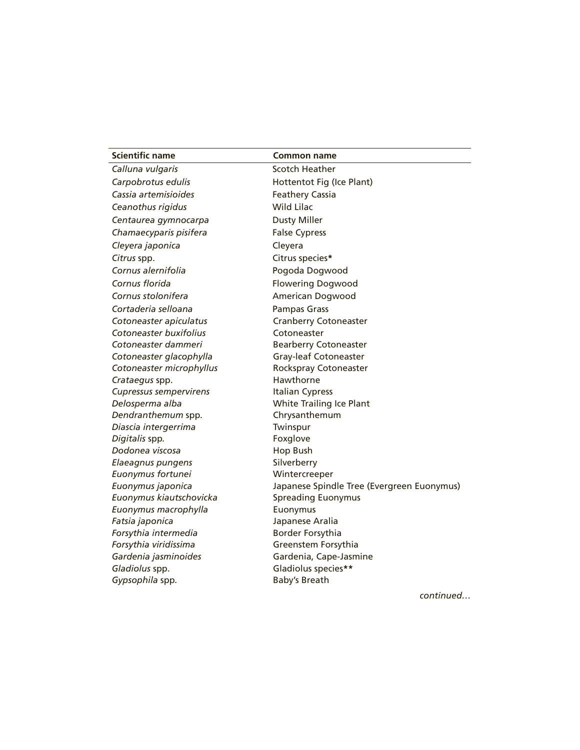| <b>Scientific name</b>        | Common name                                |
|-------------------------------|--------------------------------------------|
| Calluna vulgaris              | <b>Scotch Heather</b>                      |
| Carpobrotus edulis            | Hottentot Fig (Ice Plant)                  |
| Cassia artemisioides          | <b>Feathery Cassia</b>                     |
| Ceanothus rigidus             | <b>Wild Lilac</b>                          |
| Centaurea gymnocarpa          | <b>Dusty Miller</b>                        |
| Chamaecyparis pisifera        | <b>False Cypress</b>                       |
| Cleyera japonica              | Cleyera                                    |
| Citrus spp.                   | Citrus species*                            |
| Cornus alernifolia            | Pogoda Dogwood                             |
| Cornus florida                | <b>Flowering Dogwood</b>                   |
| Cornus stolonifera            | American Dogwood                           |
| Cortaderia selloana           | <b>Pampas Grass</b>                        |
| Cotoneaster apiculatus        | <b>Cranberry Cotoneaster</b>               |
| Cotoneaster buxifolius        | Cotoneaster                                |
| Cotoneaster dammeri           | <b>Bearberry Cotoneaster</b>               |
| Cotoneaster glacophylla       | <b>Gray-leaf Cotoneaster</b>               |
| Cotoneaster microphyllus      | Rockspray Cotoneaster                      |
| Crataegus spp.                | Hawthorne                                  |
| <b>Cupressus sempervirens</b> | <b>Italian Cypress</b>                     |
| Delosperma alba               | <b>White Trailing Ice Plant</b>            |
| Dendranthemum spp.            | Chrysanthemum                              |
| Diascia intergerrima          | Twinspur                                   |
| Digitalis spp.                | Foxglove                                   |
| Dodonea viscosa               | <b>Hop Bush</b>                            |
| Elaeagnus pungens             | Silverberry                                |
| Euonymus fortunei             | Wintercreeper                              |
| Euonymus japonica             | Japanese Spindle Tree (Evergreen Euonymus) |
| Euonymus kiautschovicka       | <b>Spreading Euonymus</b>                  |
| Euonymus macrophylla          | Euonymus                                   |
| Fatsia japonica               | Japanese Aralia                            |
| Forsythia intermedia          | <b>Border Forsythia</b>                    |
| Forsythia viridissima         | Greenstem Forsythia                        |
| Gardenia jasminoides          | Gardenia, Cape-Jasmine                     |
| Gladiolus spp.                | Gladiolus species**                        |
| Gypsophila spp.               | <b>Baby's Breath</b>                       |
|                               | continued                                  |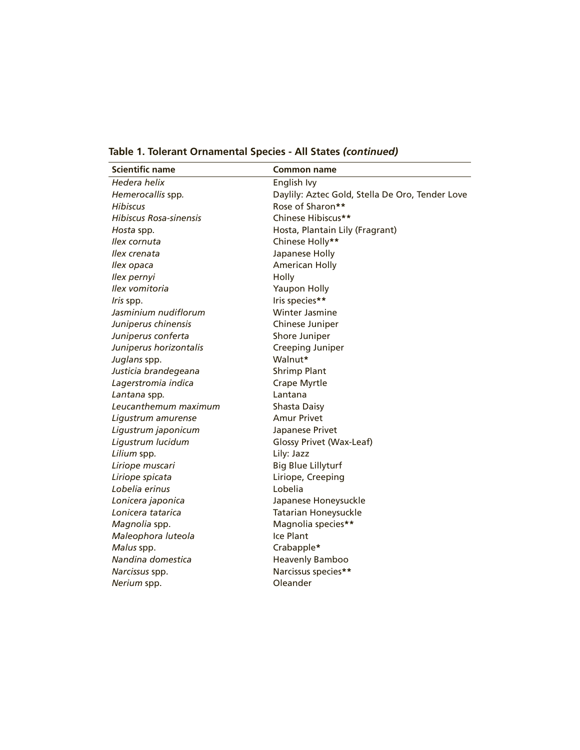| <b>Scientific name</b>        | <b>Common name</b>                              |
|-------------------------------|-------------------------------------------------|
| Hedera helix                  | English Ivy                                     |
| Hemerocallis spp.             | Daylily: Aztec Gold, Stella De Oro, Tender Love |
| <b>Hibiscus</b>               | Rose of Sharon**                                |
| <b>Hibiscus Rosa-sinensis</b> | Chinese Hibiscus**                              |
| Hosta spp.                    | Hosta, Plantain Lily (Fragrant)                 |
| Ilex cornuta                  | Chinese Holly**                                 |
| llex crenata                  | Japanese Holly                                  |
| Ilex opaca                    | <b>American Holly</b>                           |
| Ilex pernyi                   | Holly                                           |
| Ilex vomitoria                | <b>Yaupon Holly</b>                             |
| Iris spp.                     | Iris species**                                  |
| Jasminium nudiflorum          | <b>Winter Jasmine</b>                           |
| Juniperus chinensis           | Chinese Juniper                                 |
| Juniperus conferta            | Shore Juniper                                   |
| Juniperus horizontalis        | Creeping Juniper                                |
| Juglans spp.                  | Walnut*                                         |
| Justicia brandegeana          | <b>Shrimp Plant</b>                             |
| Lagerstromia indica           | <b>Crape Myrtle</b>                             |
| Lantana spp.                  | Lantana                                         |
| Leucanthemum maximum          | Shasta Daisy                                    |
| Ligustrum amurense            | <b>Amur Privet</b>                              |
| Ligustrum japonicum           | Japanese Privet                                 |
| Ligustrum lucidum             | Glossy Privet (Wax-Leaf)                        |
| Lilium spp.                   | Lily: Jazz                                      |
| Liriope muscari               | <b>Big Blue Lillyturf</b>                       |
| Liriope spicata               | Liriope, Creeping                               |
| Lobelia erinus                | Lobelia                                         |
| Lonicera japonica             | Japanese Honeysuckle                            |
| Lonicera tatarica             | <b>Tatarian Honeysuckle</b>                     |
| Magnolia spp.                 | Magnolia species**                              |
| Maleophora luteola            | Ice Plant                                       |
| Malus spp.                    | Crabapple*                                      |
| Nandina domestica             | <b>Heavenly Bamboo</b>                          |
| Narcissus spp.                | Narcissus species**                             |
| Nerium spp.                   | Oleander                                        |

**Table 1. Tolerant Ornamental Species - All States** *(continued)*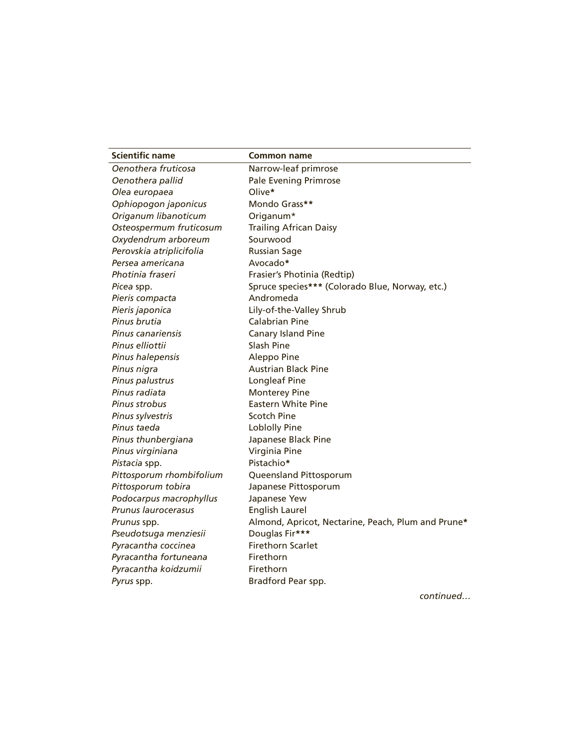| <b>Scientific name</b>   | <b>Common name</b>                                 |
|--------------------------|----------------------------------------------------|
| Oenothera fruticosa      | Narrow-leaf primrose                               |
| Oenothera pallid         | <b>Pale Evening Primrose</b>                       |
| Olea europaea            | Olive*                                             |
| Ophiopogon japonicus     | Mondo Grass**                                      |
| Origanum libanoticum     | Origanum*                                          |
| Osteospermum fruticosum  | <b>Trailing African Daisy</b>                      |
| Oxydendrum arboreum      | Sourwood                                           |
| Perovskia atriplicifolia | <b>Russian Sage</b>                                |
| Persea americana         | Avocado*                                           |
| Photinia fraseri         | Frasier's Photinia (Redtip)                        |
| Picea spp.               | Spruce species*** (Colorado Blue, Norway, etc.)    |
| Pieris compacta          | Andromeda                                          |
| Pieris japonica          | Lily-of-the-Valley Shrub                           |
| Pinus brutia             | <b>Calabrian Pine</b>                              |
| Pinus canariensis        | <b>Canary Island Pine</b>                          |
| Pinus elliottii          | Slash Pine                                         |
| Pinus halepensis         | Aleppo Pine                                        |
| Pinus nigra              | <b>Austrian Black Pine</b>                         |
| Pinus palustrus          | Longleaf Pine                                      |
| Pinus radiata            | <b>Monterey Pine</b>                               |
| Pinus strobus            | <b>Eastern White Pine</b>                          |
| Pinus sylvestris         | <b>Scotch Pine</b>                                 |
| Pinus taeda              | <b>Loblolly Pine</b>                               |
| Pinus thunbergiana       | Japanese Black Pine                                |
| Pinus virginiana         | Virginia Pine                                      |
| Pistacia spp.            | Pistachio*                                         |
| Pittosporum rhombifolium | Queensland Pittosporum                             |
| Pittosporum tobira       | Japanese Pittosporum                               |
| Podocarpus macrophyllus  | Japanese Yew                                       |
| Prunus laurocerasus      | <b>English Laurel</b>                              |
| Prunus spp.              | Almond, Apricot, Nectarine, Peach, Plum and Prune* |
| Pseudotsuga menziesii    | Douglas Fir***                                     |
| Pyracantha coccinea      | <b>Firethorn Scarlet</b>                           |
| Pyracantha fortuneana    | Firethorn                                          |
| Pyracantha koidzumii     | Firethorn                                          |
| Pyrus spp.               | Bradford Pear spp.                                 |

*continued…*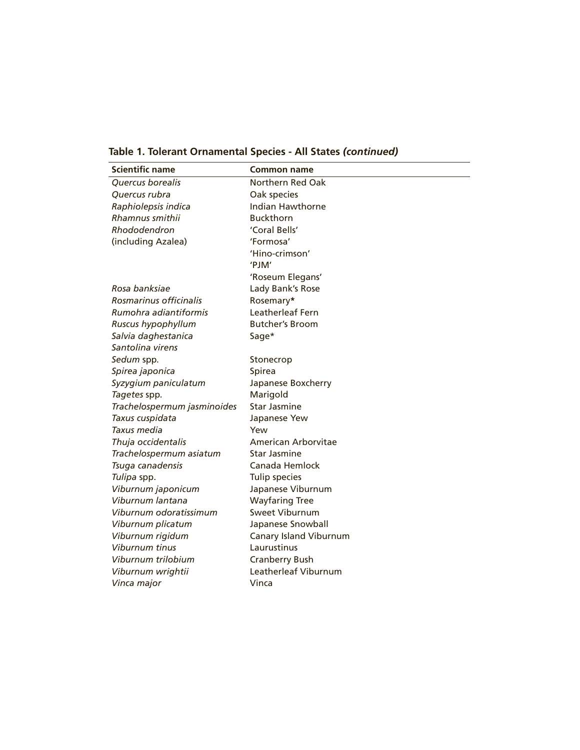**Table 1. Tolerant Ornamental Species - All States** *(continued)*

| <b>Scientific name</b>      | Common name             |
|-----------------------------|-------------------------|
| Quercus borealis            | Northern Red Oak        |
| Ouercus rubra               | Oak species             |
| Raphiolepsis indica         | <b>Indian Hawthorne</b> |
| Rhamnus smithii             | <b>Buckthorn</b>        |
| Rhododendron                | 'Coral Bells'           |
| (including Azalea)          | 'Formosa'               |
|                             | 'Hino-crimson'          |
|                             | 'PJM'                   |
|                             | 'Roseum Elegans'        |
| Rosa banksiae               | Lady Bank's Rose        |
| Rosmarinus officinalis      | Rosemary*               |
| Rumohra adiantiformis       | Leatherleaf Fern        |
| Ruscus hypophyllum          | <b>Butcher's Broom</b>  |
| Salvia daghestanica         | Sage*                   |
| Santolina virens            |                         |
| Sedum spp.                  | Stonecrop               |
| Spirea japonica             | Spirea                  |
| Syzygium paniculatum        | Japanese Boxcherry      |
| Tagetes spp.                | Marigold                |
| Trachelospermum jasminoides | <b>Star Jasmine</b>     |
| Taxus cuspidata             | Japanese Yew            |
| Taxus media                 | Yew                     |
| Thuja occidentalis          | American Arborvitae     |
| Trachelospermum asiatum     | Star Jasmine            |
| Tsuga canadensis            | Canada Hemlock          |
| Tulipa spp.                 | Tulip species           |
| Viburnum japonicum          | Japanese Viburnum       |
| Viburnum lantana            | <b>Wayfaring Tree</b>   |
| Viburnum odoratissimum      | Sweet Viburnum          |
| Viburnum plicatum           | Japanese Snowball       |
| Viburnum rigidum            | Canary Island Viburnum  |
| Viburnum tinus              | Laurustinus             |
| Viburnum trilobium          | <b>Cranberry Bush</b>   |
| Viburnum wrightii           | Leatherleaf Viburnum    |
| Vinca major                 | Vinca                   |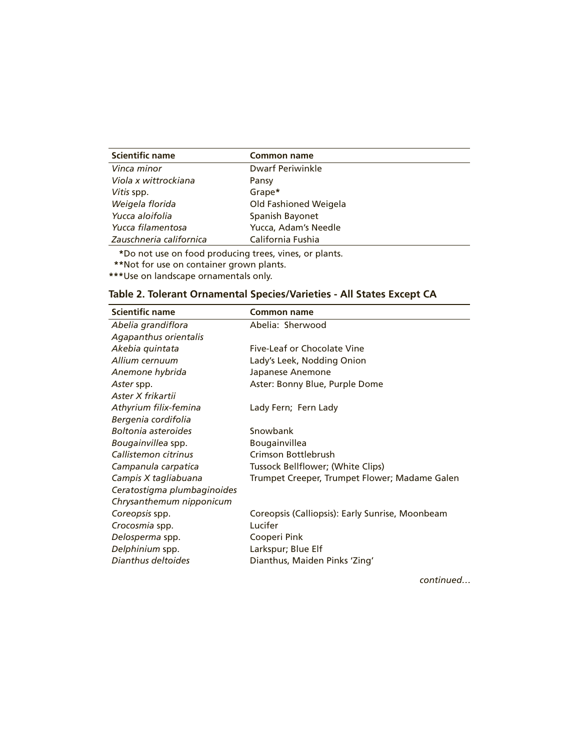| <b>Scientific name</b>  | <b>Common name</b>      |
|-------------------------|-------------------------|
| Vinca minor             | <b>Dwarf Periwinkle</b> |
| Viola x wittrockiana    | Pansy                   |
| Vitis spp.              | Grape*                  |
| Weigela florida         | Old Fashioned Weigela   |
| Yucca aloifolia         | Spanish Bayonet         |
| Yucca filamentosa       | Yucca, Adam's Needle    |
| Zauschneria californica | California Fushia       |

**\***Do not use on food producing trees, vines, or plants.

**\*\***Not for use on container grown plants.

**\*\*\***Use on landscape ornamentals only.

| <b>Scientific name</b>      | Common name                                     |
|-----------------------------|-------------------------------------------------|
| Abelia grandiflora          | Abelia: Sherwood                                |
| Agapanthus orientalis       |                                                 |
| Akebia quintata             | Five-Leaf or Chocolate Vine                     |
| Allium cernuum              | Lady's Leek, Nodding Onion                      |
| Anemone hybrida             | Japanese Anemone                                |
| Aster spp.                  | Aster: Bonny Blue, Purple Dome                  |
| Aster X frikartii           |                                                 |
| Athyrium filix-femina       | Lady Fern; Fern Lady                            |
| Bergenia cordifolia         |                                                 |
| Boltonia asteroides         | Snowbank                                        |
| Bougainvillea spp.          | Bougainvillea                                   |
| Callistemon citrinus        | Crimson Bottlebrush                             |
| Campanula carpatica         | Tussock Bellflower; (White Clips)               |
| Campis X tagliabuana        | Trumpet Creeper, Trumpet Flower; Madame Galen   |
| Ceratostigma plumbaginoides |                                                 |
| Chrysanthemum nipponicum    |                                                 |
| Coreopsis spp.              | Coreopsis (Calliopsis): Early Sunrise, Moonbeam |
| Crocosmia spp.              | Lucifer                                         |
| Delosperma spp.             | Cooperi Pink                                    |
| Delphinium spp.             | Larkspur; Blue Elf                              |
| Dianthus deltoides          | Dianthus, Maiden Pinks 'Zing'                   |

| Table 2. Tolerant Ornamental Species/Varieties - All States Except CA |  |
|-----------------------------------------------------------------------|--|
|-----------------------------------------------------------------------|--|

*continued…*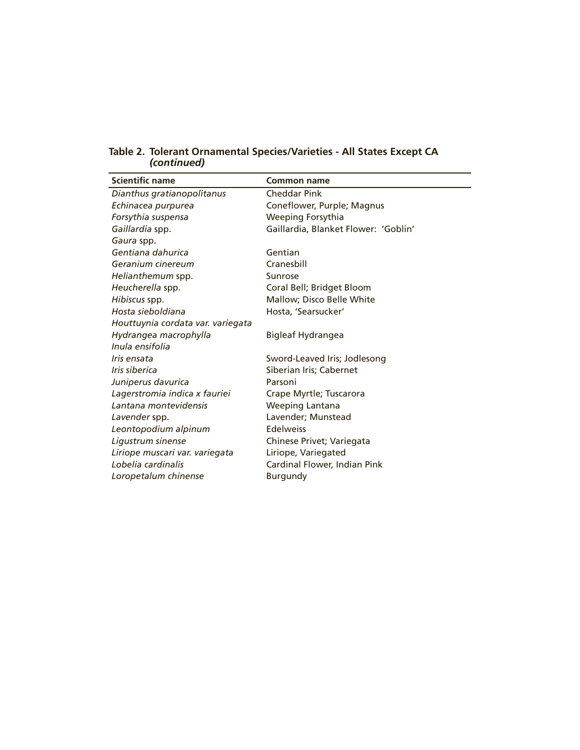| <b>Scientific name</b>            | <b>Common name</b>                   |
|-----------------------------------|--------------------------------------|
| Dianthus gratianopolitanus        | <b>Cheddar Pink</b>                  |
| Echinacea purpurea                | Coneflower, Purple; Magnus           |
| Forsythia suspensa                | Weeping Forsythia                    |
| Gaillardia spp.                   | Gaillardia, Blanket Flower: 'Goblin' |
| Gaura spp.                        |                                      |
| Gentiana dahurica                 | Gentian                              |
| Geranium cinereum                 | Cranesbill                           |
| Helianthemum spp.                 | Sunrose                              |
| Heucherella spp.                  | Coral Bell; Bridget Bloom            |
| Hibiscus spp.                     | Mallow; Disco Belle White            |
| Hosta sieboldiana                 | Hosta, 'Searsucker'                  |
| Houttuynia cordata var. variegata |                                      |
| Hydrangea macrophylla             | <b>Bigleaf Hydrangea</b>             |
| Inula ensifolia                   |                                      |
| Iris ensata                       | Sword-Leaved Iris; Jodlesong         |
| Iris siberica                     | Siberian Iris; Cabernet              |
| Juniperus davurica                | Parsoni                              |
| Lagerstromia indica x fauriei     | Crape Myrtle; Tuscarora              |
| Lantana montevidensis             | Weeping Lantana                      |
| Lavender spp.                     | Lavender; Munstead                   |
| Leontopodium alpinum              | <b>Edelweiss</b>                     |
| Ligustrum sinense                 | Chinese Privet; Variegata            |
| Liriope muscari var. variegata    | Liriope, Variegated                  |
| Lobelia cardinalis                | Cardinal Flower, Indian Pink         |
| Loropetalum chinense              | <b>Burgundy</b>                      |

**Table 2. Tolerant Ornamental Species/Varieties - All States Except CA** *(continued)*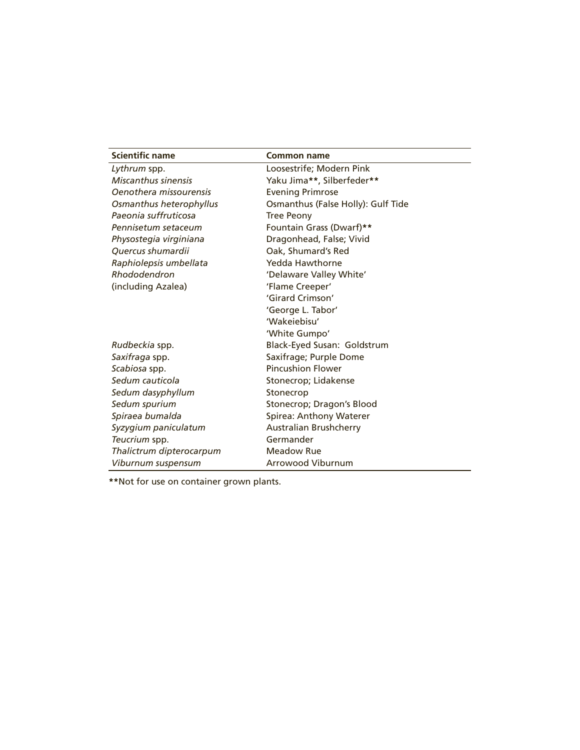| <b>Scientific name</b>   | <b>Common name</b>                 |
|--------------------------|------------------------------------|
| Lythrum spp.             | Loosestrife; Modern Pink           |
| Miscanthus sinensis      | Yaku Jima**, Silberfeder**         |
| Oenothera missourensis   | <b>Evening Primrose</b>            |
| Osmanthus heterophyllus  | Osmanthus (False Holly): Gulf Tide |
| Paeonia suffruticosa     | <b>Tree Peony</b>                  |
| Pennisetum setaceum      | Fountain Grass (Dwarf)**           |
| Physostegia virginiana   | Dragonhead, False; Vivid           |
| Ouercus shumardii        | Oak, Shumard's Red                 |
| Raphiolepsis umbellata   | Yedda Hawthorne                    |
| Rhododendron             | 'Delaware Valley White'            |
| (including Azalea)       | 'Flame Creeper'                    |
|                          | 'Girard Crimson'                   |
|                          | 'George L. Tabor'                  |
|                          | 'Wakejebisu'                       |
|                          | 'White Gumpo'                      |
| Rudbeckia spp.           | Black-Eyed Susan: Goldstrum        |
| Saxifraga spp.           | Saxifrage; Purple Dome             |
| Scabiosa spp.            | <b>Pincushion Flower</b>           |
| Sedum cauticola          | Stonecrop; Lidakense               |
| Sedum dasyphyllum        | Stonecrop                          |
| Sedum spurium            | Stonecrop; Dragon's Blood          |
| Spiraea bumalda          | Spirea: Anthony Waterer            |
| Syzygium paniculatum     | <b>Australian Brushcherry</b>      |
| Teucrium spp.            | Germander                          |
| Thalictrum dipterocarpum | <b>Meadow Rue</b>                  |
| Viburnum suspensum       | <b>Arrowood Viburnum</b>           |

**\*\***Not for use on container grown plants.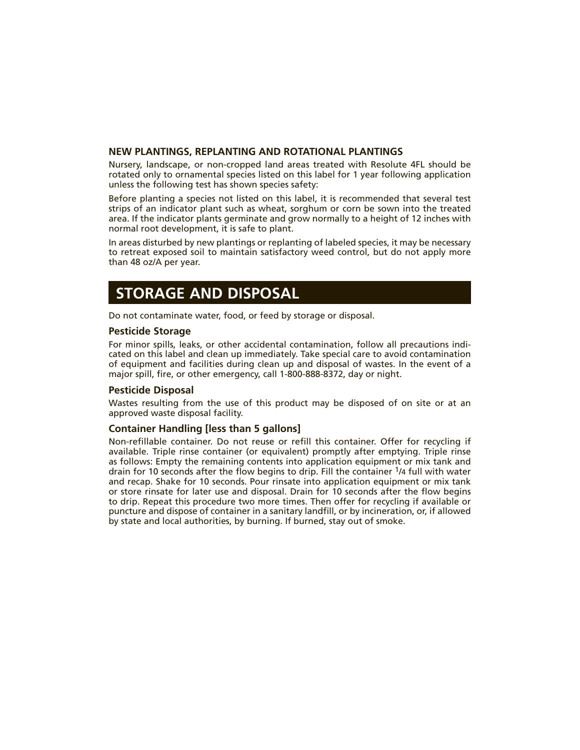#### **NEW PLANTINGS, REPLANTING AND ROTATIONAL PLANTINGS**

Nursery, landscape, or non-cropped land areas treated with Resolute 4FL should be rotated only to ornamental species listed on this label for 1 year following application unless the following test has shown species safety:

Before planting a species not listed on this label, it is recommended that several test strips of an indicator plant such as wheat, sorghum or corn be sown into the treated area. If the indicator plants germinate and grow normally to a height of 12 inches with normal root development, it is safe to plant.

In areas disturbed by new plantings or replanting of labeled species, it may be necessary to retreat exposed soil to maintain satisfactory weed control, but do not apply more than 48 oz/A per year.

### **STORAGE AND DISPOSAL**

Do not contaminate water, food, or feed by storage or disposal.

#### **Pesticide Storage**

For minor spills, leaks, or other accidental contamination, follow all precautions indicated on this label and clean up immediately. Take special care to avoid contamination of equipment and facilities during clean up and disposal of wastes. In the event of a major spill, fire, or other emergency, call 1-800-888-8372, day or night.

#### **Pesticide Disposal**

Wastes resulting from the use of this product may be disposed of on site or at an approved waste disposal facility.

#### **Container Handling [less than 5 gallons]**

Non-refillable container. Do not reuse or refill this container. Offer for recycling if available. Triple rinse container (or equivalent) promptly after emptying. Triple rinse as follows: Empty the remaining contents into application equipment or mix tank and drain for 10 seconds after the flow begins to drip. Fill the container 1/4 full with water and recap. Shake for 10 seconds. Pour rinsate into application equipment or mix tank or store rinsate for later use and disposal. Drain for 10 seconds after the flow begins to drip. Repeat this procedure two more times. Then offer for recycling if available or puncture and dispose of container in a sanitary landfill, or by incineration, or, if allowed by state and local authorities, by burning. If burned, stay out of smoke.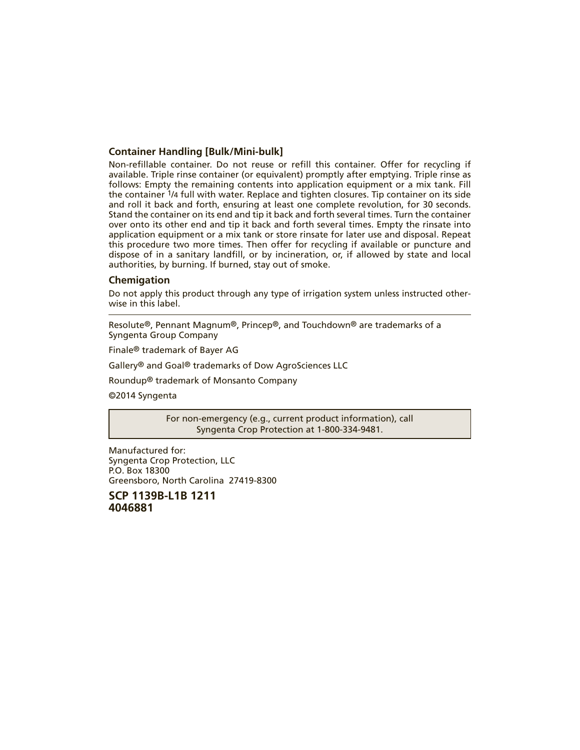#### **Container Handling [Bulk/Mini-bulk]**

Non-refillable container. Do not reuse or refill this container. Offer for recycling if available. Triple rinse container (or equivalent) promptly after emptying. Triple rinse as follows: Empty the remaining contents into application equipment or a mix tank. Fill the container 1/4 full with water. Replace and tighten closures. Tip container on its side and roll it back and forth, ensuring at least one complete revolution, for 30 seconds. Stand the container on its end and tip it back and forth several times. Turn the container over onto its other end and tip it back and forth several times. Empty the rinsate into application equipment or a mix tank or store rinsate for later use and disposal. Repeat this procedure two more times. Then offer for recycling if available or puncture and dispose of in a sanitary landfill, or by incineration, or, if allowed by state and local authorities, by burning. If burned, stay out of smoke.

#### **Chemigation**

Do not apply this product through any type of irrigation system unless instructed otherwise in this label.

Resolute®, Pennant Magnum®, Princep®, and Touchdown® are trademarks of a Syngenta Group Company

Finale® trademark of Bayer AG

Gallery® and Goal® trademarks of Dow AgroSciences LLC

Roundup® trademark of Monsanto Company

©2014 Syngenta

For non-emergency (e.g., current product information), call Syngenta Crop Protection at 1-800-334-9481.

Manufactured for: Syngenta Crop Protection, LLC P.O. Box 18300 Greensboro, North Carolina 27419-8300

**SCP 1139B-L1B 1211 4046881**